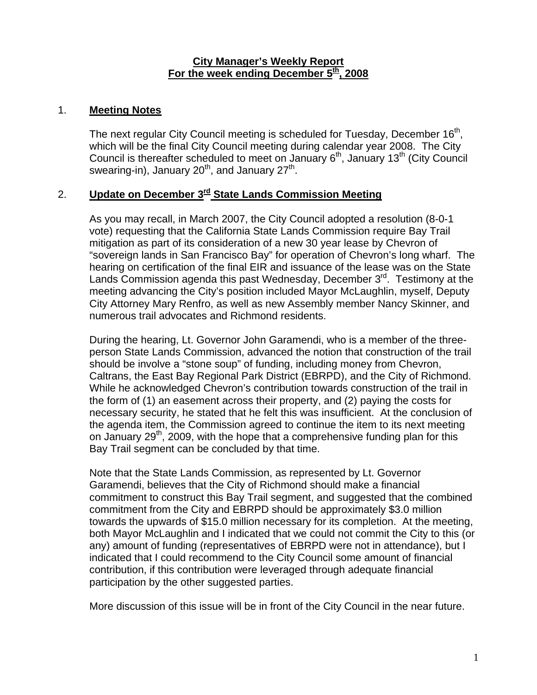#### **City Manager's Weekly Report** For the week ending December 5<sup>th</sup>, 2008

### 1. **Meeting Notes**

The next regular City Council meeting is scheduled for Tuesday, December 16<sup>th</sup>, which will be the final City Council meeting during calendar year 2008. The City Council is thereafter scheduled to meet on January  $6<sup>th</sup>$ , January 13<sup>th</sup> (City Council swearing-in), January  $20<sup>th</sup>$ , and January  $27<sup>th</sup>$ .

## 2. **Update on December 3rd State Lands Commission Meeting**

As you may recall, in March 2007, the City Council adopted a resolution (8-0-1 vote) requesting that the California State Lands Commission require Bay Trail mitigation as part of its consideration of a new 30 year lease by Chevron of "sovereign lands in San Francisco Bay" for operation of Chevron's long wharf. The hearing on certification of the final EIR and issuance of the lease was on the State Lands Commission agenda this past Wednesday, December 3<sup>rd</sup>. Testimony at the meeting advancing the City's position included Mayor McLaughlin, myself, Deputy City Attorney Mary Renfro, as well as new Assembly member Nancy Skinner, and numerous trail advocates and Richmond residents.

During the hearing, Lt. Governor John Garamendi, who is a member of the threeperson State Lands Commission, advanced the notion that construction of the trail should be involve a "stone soup" of funding, including money from Chevron, Caltrans, the East Bay Regional Park District (EBRPD), and the City of Richmond. While he acknowledged Chevron's contribution towards construction of the trail in the form of (1) an easement across their property, and (2) paying the costs for necessary security, he stated that he felt this was insufficient. At the conclusion of the agenda item, the Commission agreed to continue the item to its next meeting on January 29<sup>th</sup>, 2009, with the hope that a comprehensive funding plan for this Bay Trail segment can be concluded by that time.

Note that the State Lands Commission, as represented by Lt. Governor Garamendi, believes that the City of Richmond should make a financial commitment to construct this Bay Trail segment, and suggested that the combined commitment from the City and EBRPD should be approximately \$3.0 million towards the upwards of \$15.0 million necessary for its completion. At the meeting, both Mayor McLaughlin and I indicated that we could not commit the City to this (or any) amount of funding (representatives of EBRPD were not in attendance), but I indicated that I could recommend to the City Council some amount of financial contribution, if this contribution were leveraged through adequate financial participation by the other suggested parties.

More discussion of this issue will be in front of the City Council in the near future.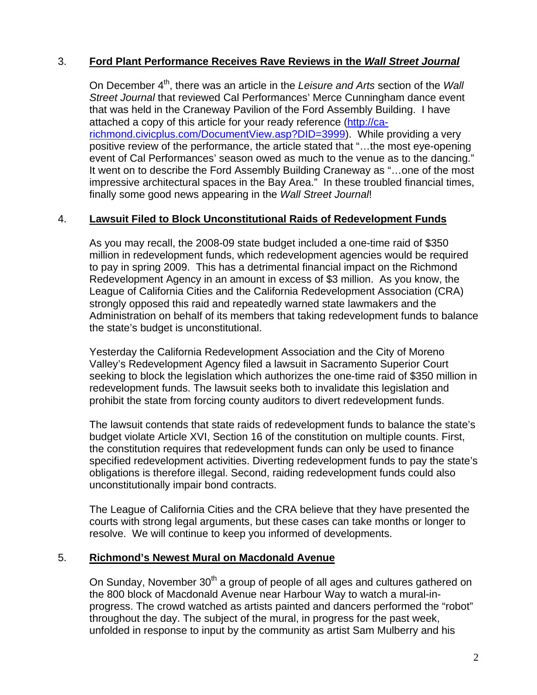# 3. **Ford Plant Performance Receives Rave Reviews in the** *Wall Street Journal*

On December 4th, there was an article in the *Leisure and Arts* section of the *Wall Street Journal* that reviewed Cal Performances' Merce Cunningham dance event that was held in the Craneway Pavilion of the Ford Assembly Building. I have attached a copy of this article for your ready reference [\(http://ca](http://ca-richmond.civicplus.com/DocumentView.asp?DID=3999)[richmond.civicplus.com/DocumentView.asp?DID=3999\)](http://ca-richmond.civicplus.com/DocumentView.asp?DID=3999). While providing a very positive review of the performance, the article stated that "…the most eye-opening event of Cal Performances' season owed as much to the venue as to the dancing." It went on to describe the Ford Assembly Building Craneway as "…one of the most impressive architectural spaces in the Bay Area." In these troubled financial times, finally some good news appearing in the *Wall Street Journal*!

### 4. **Lawsuit Filed to Block Unconstitutional Raids of Redevelopment Funds**

As you may recall, the 2008-09 state budget included a one-time raid of \$350 million in redevelopment funds, which redevelopment agencies would be required to pay in spring 2009. This has a detrimental financial impact on the Richmond Redevelopment Agency in an amount in excess of \$3 million. As you know, the League of California Cities and the California Redevelopment Association (CRA) strongly opposed this raid and repeatedly warned state lawmakers and the Administration on behalf of its members that taking redevelopment funds to balance the state's budget is unconstitutional.

Yesterday the California Redevelopment Association and the City of Moreno Valley's Redevelopment Agency filed a lawsuit in Sacramento Superior Court seeking to block the legislation which authorizes the one-time raid of \$350 million in redevelopment funds. The lawsuit seeks both to invalidate this legislation and prohibit the state from forcing county auditors to divert redevelopment funds.

The lawsuit contends that state raids of redevelopment funds to balance the state's budget violate Article XVI, Section 16 of the constitution on multiple counts. First, the constitution requires that redevelopment funds can only be used to finance specified redevelopment activities. Diverting redevelopment funds to pay the state's obligations is therefore illegal. Second, raiding redevelopment funds could also unconstitutionally impair bond contracts.

The League of California Cities and the CRA believe that they have presented the courts with strong legal arguments, but these cases can take months or longer to resolve. We will continue to keep you informed of developments.

### 5. **Richmond's Newest Mural on Macdonald Avenue**

On Sunday, November 30<sup>th</sup> a group of people of all ages and cultures gathered on the 800 block of Macdonald Avenue near Harbour Way to watch a mural-inprogress. The crowd watched as artists painted and dancers performed the "robot" throughout the day. The subject of the mural, in progress for the past week, unfolded in response to input by the community as artist Sam Mulberry and his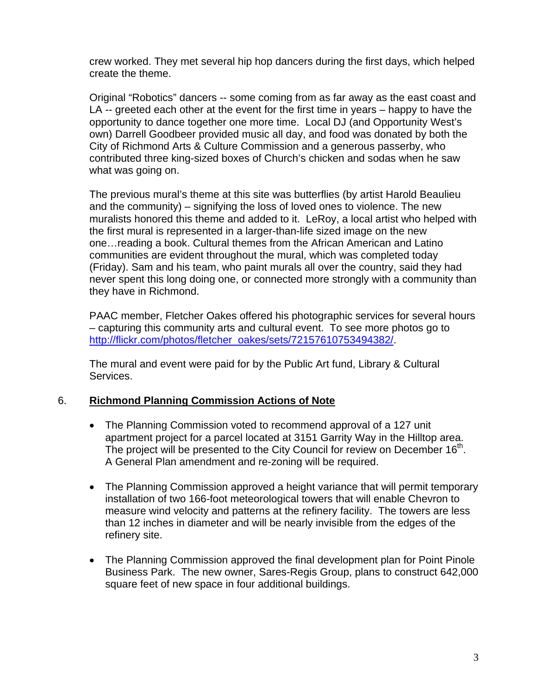crew worked. They met several hip hop dancers during the first days, which helped create the theme.

Original "Robotics" dancers -- some coming from as far away as the east coast and LA -- greeted each other at the event for the first time in years – happy to have the opportunity to dance together one more time. Local DJ (and Opportunity West's own) Darrell Goodbeer provided music all day, and food was donated by both the City of Richmond Arts & Culture Commission and a generous passerby, who contributed three king-sized boxes of Church's chicken and sodas when he saw what was going on.

The previous mural's theme at this site was butterflies (by artist Harold Beaulieu and the community) – signifying the loss of loved ones to violence. The new muralists honored this theme and added to it. LeRoy, a local artist who helped with the first mural is represented in a larger-than-life sized image on the new one…reading a book. Cultural themes from the African American and Latino communities are evident throughout the mural, which was completed today (Friday). Sam and his team, who paint murals all over the country, said they had never spent this long doing one, or connected more strongly with a community than they have in Richmond.

PAAC member, Fletcher Oakes offered his photographic services for several hours – capturing this community arts and cultural event. To see more photos go to [http://flickr.com/photos/fletcher\\_oakes/sets/72157610753494382/.](http://flickr.com/photos/fletcher_oakes/sets/72157610753494382/)

The mural and event were paid for by the Public Art fund, Library & Cultural Services.

# 6. **Richmond Planning Commission Actions of Note**

- The Planning Commission voted to recommend approval of a 127 unit apartment project for a parcel located at 3151 Garrity Way in the Hilltop area. The project will be presented to the City Council for review on December 16<sup>th</sup>. A General Plan amendment and re-zoning will be required.
- The Planning Commission approved a height variance that will permit temporary installation of two 166-foot meteorological towers that will enable Chevron to measure wind velocity and patterns at the refinery facility. The towers are less than 12 inches in diameter and will be nearly invisible from the edges of the refinery site.
- The Planning Commission approved the final development plan for Point Pinole Business Park. The new owner, Sares-Regis Group, plans to construct 642,000 square feet of new space in four additional buildings.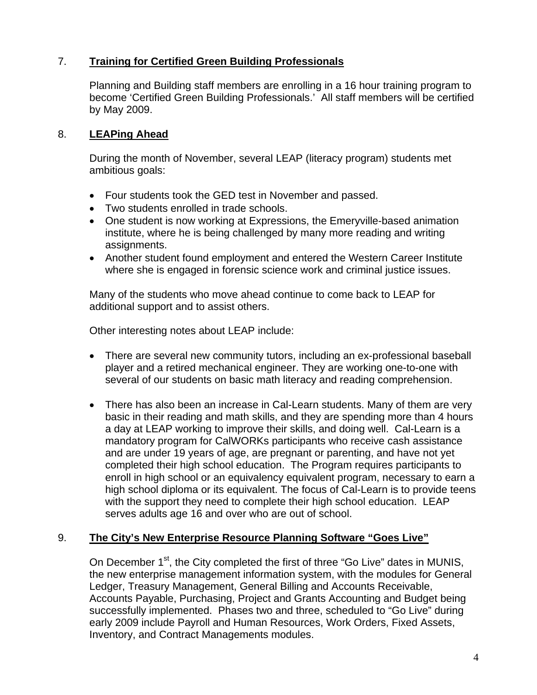# 7. **Training for Certified Green Building Professionals**

Planning and Building staff members are enrolling in a 16 hour training program to become 'Certified Green Building Professionals.' All staff members will be certified by May 2009.

# 8. **LEAPing Ahead**

During the month of November, several LEAP (literacy program) students met ambitious goals:

- Four students took the GED test in November and passed.
- Two students enrolled in trade schools.
- One student is now working at Expressions, the Emeryville-based animation institute, where he is being challenged by many more reading and writing assignments.
- Another student found employment and entered the Western Career Institute where she is engaged in forensic science work and criminal justice issues.

Many of the students who move ahead continue to come back to LEAP for additional support and to assist others.

Other interesting notes about LEAP include:

- There are several new community tutors, including an ex-professional baseball player and a retired mechanical engineer. They are working one-to-one with several of our students on basic math literacy and reading comprehension.
- There has also been an increase in Cal-Learn students. Many of them are very basic in their reading and math skills, and they are spending more than 4 hours a day at LEAP working to improve their skills, and doing well. Cal-Learn is a mandatory program for CalWORKs participants who receive cash assistance and are under 19 years of age, are pregnant or parenting, and have not yet completed their high school education. The Program requires participants to enroll in high school or an equivalency equivalent program, necessary to earn a high school diploma or its equivalent. The focus of Cal-Learn is to provide teens with the support they need to complete their high school education. LEAP serves adults age 16 and over who are out of school.

# 9. **The City's New Enterprise Resource Planning Software "Goes Live"**

On December 1<sup>st</sup>, the City completed the first of three "Go Live" dates in MUNIS, the new enterprise management information system, with the modules for General Ledger, Treasury Management, General Billing and Accounts Receivable, Accounts Payable, Purchasing, Project and Grants Accounting and Budget being successfully implemented. Phases two and three, scheduled to "Go Live" during early 2009 include Payroll and Human Resources, Work Orders, Fixed Assets, Inventory, and Contract Managements modules.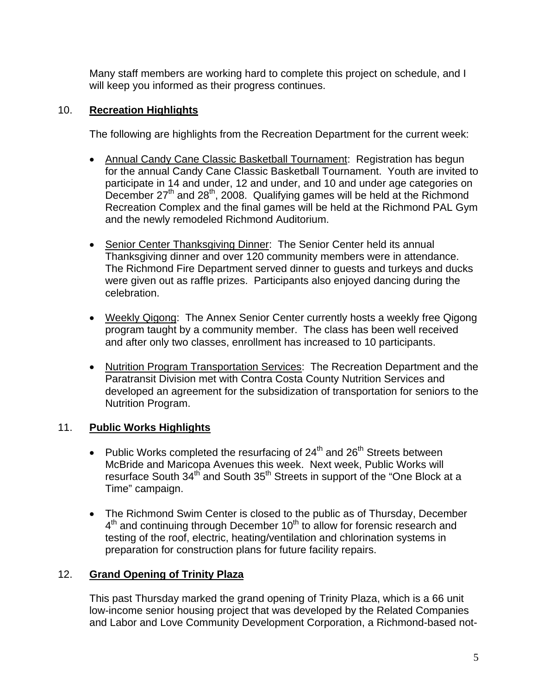Many staff members are working hard to complete this project on schedule, and I will keep you informed as their progress continues.

## 10. **Recreation Highlights**

The following are highlights from the Recreation Department for the current week:

- Annual Candy Cane Classic Basketball Tournament:Registration has begun for the annual Candy Cane Classic Basketball Tournament. Youth are invited to participate in 14 and under, 12 and under, and 10 and under age categories on December 27<sup>th</sup> and 28<sup>th</sup>, 2008. Qualifying games will be held at the Richmond Recreation Complex and the final games will be held at the Richmond PAL Gym and the newly remodeled Richmond Auditorium.
- Senior Center Thanksgiving Dinner: The Senior Center held its annual Thanksgiving dinner and over 120 community members were in attendance. The Richmond Fire Department served dinner to guests and turkeys and ducks were given out as raffle prizes. Participants also enjoyed dancing during the celebration.
- Weekly Qigong: The Annex Senior Center currently hosts a weekly free Qigong program taught by a community member. The class has been well received and after only two classes, enrollment has increased to 10 participants.
- Nutrition Program Transportation Services:The Recreation Department and the Paratransit Division met with Contra Costa County Nutrition Services and developed an agreement for the subsidization of transportation for seniors to the Nutrition Program.

# 11. **Public Works Highlights**

- Public Works completed the resurfacing of  $24<sup>th</sup>$  and  $26<sup>th</sup>$  Streets between McBride and Maricopa Avenues this week. Next week, Public Works will resurface South 34<sup>th</sup> and South 35<sup>th</sup> Streets in support of the "One Block at a Time" campaign.
- The Richmond Swim Center is closed to the public as of Thursday, December  $4<sup>th</sup>$  and continuing through December 10<sup>th</sup> to allow for forensic research and testing of the roof, electric, heating/ventilation and chlorination systems in preparation for construction plans for future facility repairs.

# 12. **Grand Opening of Trinity Plaza**

This past Thursday marked the grand opening of Trinity Plaza, which is a 66 unit low-income senior housing project that was developed by the Related Companies and Labor and Love Community Development Corporation, a Richmond-based not-